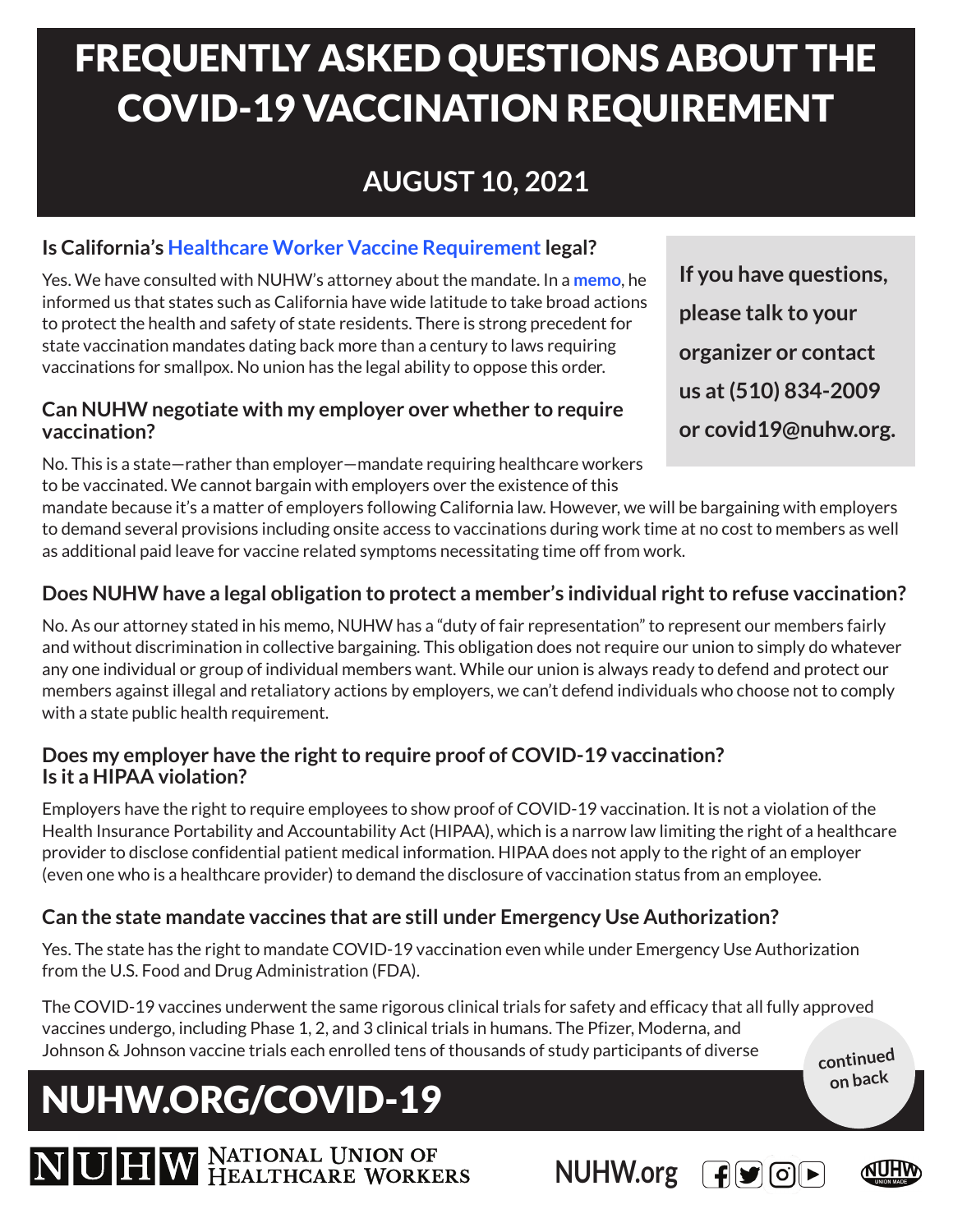# FREQUENTLY ASKED QUESTIONS ABOUT THE COVID-19 VACCINATION REQUIREMENT

## **AUGUST 10, 2021**

### **Is California's [Healthcare Worker Vaccine Requirement](https://www.cdph.ca.gov/Programs/CID/DCDC/Pages/COVID-19/Order-of-the-State-Public-Health-Officer-Health-Care-Worker-Vaccine-Requirement.aspx) legal?**

Yes. We have consulted with NUHW's attorney about the mandate. In a **[memo](https://nuhw.org/wp-content/uploads/2021-08-06-JHS-Ltr-to-Sal-Rosselli-re-Covid-Mitigation-Req.pdf)**, he informed us that states such as California have wide latitude to take broad actions to protect the health and safety of state residents. There is strong precedent for state vaccination mandates dating back more than a century to laws requiring vaccinations for smallpox. No union has the legal ability to oppose this order.

#### **Can NUHW negotiate with my employer over whether to require vaccination?**

No. This is a state—rather than employer—mandate requiring healthcare workers to be vaccinated. We cannot bargain with employers over the existence of this

**If you have questions, please talk to your organizer or contact us at (510) 834-2009 or covid19@nuhw.org.** 

mandate because it's a matter of employers following California law. However, we will be bargaining with employers to demand several provisions including onsite access to vaccinations during work time at no cost to members as well as additional paid leave for vaccine related symptoms necessitating time off from work.

### **Does NUHW have a legal obligation to protect a member's individual right to refuse vaccination?**

No. As our attorney stated in his memo, NUHW has a "duty of fair representation" to represent our members fairly and without discrimination in collective bargaining. This obligation does not require our union to simply do whatever any one individual or group of individual members want. While our union is always ready to defend and protect our members against illegal and retaliatory actions by employers, we can't defend individuals who choose not to comply with a state public health requirement.

#### **Does my employer have the right to require proof of COVID-19 vaccination? Is it a HIPAA violation?**

Employers have the right to require employees to show proof of COVID-19 vaccination. It is not a violation of the Health Insurance Portability and Accountability Act (HIPAA), which is a narrow law limiting the right of a healthcare provider to disclose confidential patient medical information. HIPAA does not apply to the right of an employer (even one who is a healthcare provider) to demand the disclosure of vaccination status from an employee.

### **Can the state mandate vaccines that are still under Emergency Use Authorization?**

Yes. The state has the right to mandate COVID-19 vaccination even while under Emergency Use Authorization from the U.S. Food and Drug Administration (FDA).

The COVID-19 vaccines underwent the same rigorous clinical trials for safety and efficacy that all fully approved vaccines undergo, including Phase 1, 2, and 3 clinical trials in humans. The Pfizer, Moderna, and Johnson & Johnson vaccine trials each enrolled tens of thousands of study participants of diverse **continued**

# NUHW.ORG/COVID-19





**on back**

NUHW NATIONAL UNION OF